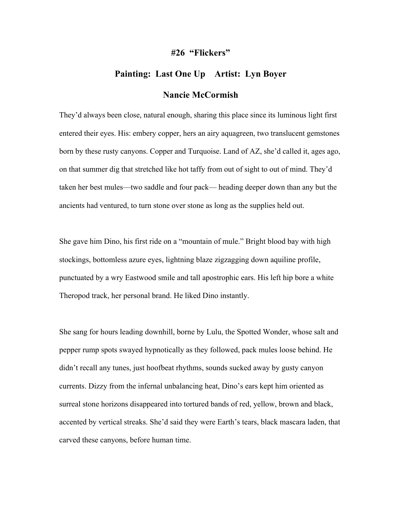## **#26 "Flickers"**

## **Painting: Last One Up Artist: Lyn Boyer**

## **Nancie McCormish**

They'd always been close, natural enough, sharing this place since its luminous light first entered their eyes. His: embery copper, hers an airy aquagreen, two translucent gemstones born by these rusty canyons. Copper and Turquoise. Land of AZ, she'd called it, ages ago, on that summer dig that stretched like hot taffy from out of sight to out of mind. They'd taken her best mules—two saddle and four pack— heading deeper down than any but the ancients had ventured, to turn stone over stone as long as the supplies held out.

She gave him Dino, his first ride on a "mountain of mule." Bright blood bay with high stockings, bottomless azure eyes, lightning blaze zigzagging down aquiline profile, punctuated by a wry Eastwood smile and tall apostrophic ears. His left hip bore a white Theropod track, her personal brand. He liked Dino instantly.

She sang for hours leading downhill, borne by Lulu, the Spotted Wonder, whose salt and pepper rump spots swayed hypnotically as they followed, pack mules loose behind. He didn't recall any tunes, just hoofbeat rhythms, sounds sucked away by gusty canyon currents. Dizzy from the infernal unbalancing heat, Dino's ears kept him oriented as surreal stone horizons disappeared into tortured bands of red, yellow, brown and black, accented by vertical streaks. She'd said they were Earth's tears, black mascara laden, that carved these canyons, before human time.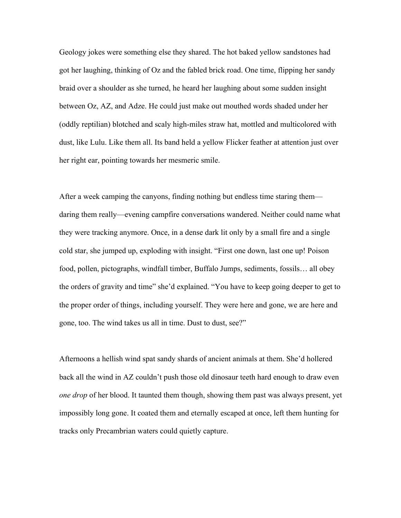Geology jokes were something else they shared. The hot baked yellow sandstones had got her laughing, thinking of Oz and the fabled brick road. One time, flipping her sandy braid over a shoulder as she turned, he heard her laughing about some sudden insight between Oz, AZ, and Adze. He could just make out mouthed words shaded under her (oddly reptilian) blotched and scaly high-miles straw hat, mottled and multicolored with dust, like Lulu. Like them all. Its band held a yellow Flicker feather at attention just over her right ear, pointing towards her mesmeric smile.

After a week camping the canyons, finding nothing but endless time staring them daring them really—evening campfire conversations wandered. Neither could name what they were tracking anymore. Once, in a dense dark lit only by a small fire and a single cold star, she jumped up, exploding with insight. "First one down, last one up! Poison food, pollen, pictographs, windfall timber, Buffalo Jumps, sediments, fossils… all obey the orders of gravity and time" she'd explained. "You have to keep going deeper to get to the proper order of things, including yourself. They were here and gone, we are here and gone, too. The wind takes us all in time. Dust to dust, see?"

Afternoons a hellish wind spat sandy shards of ancient animals at them. She'd hollered back all the wind in AZ couldn't push those old dinosaur teeth hard enough to draw even *one drop* of her blood. It taunted them though, showing them past was always present, yet impossibly long gone. It coated them and eternally escaped at once, left them hunting for tracks only Precambrian waters could quietly capture.